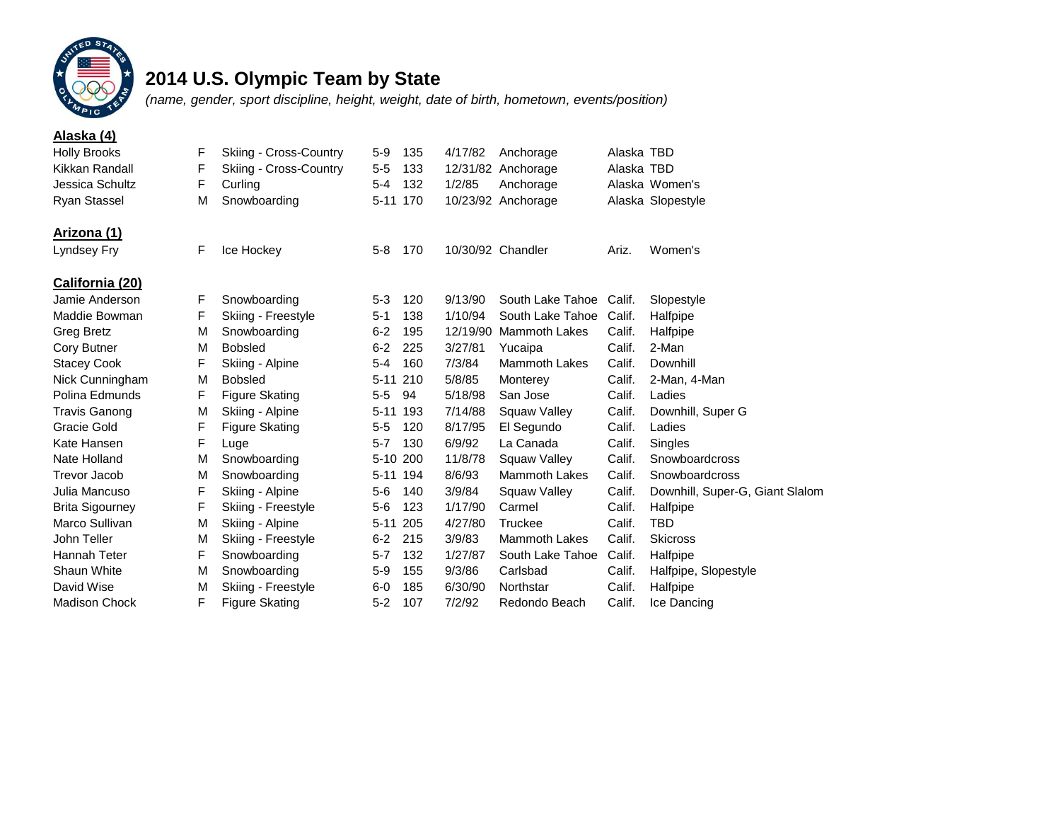

## **2014 U.S. Olympic Team by State**

*(name, gender, sport discipline, height, weight, date of birth, hometown, events/position)*

| Alaska (4)             |   |                        |          |     |          |                      |            |                                 |
|------------------------|---|------------------------|----------|-----|----------|----------------------|------------|---------------------------------|
| <b>Holly Brooks</b>    | F | Skiing - Cross-Country | $5-9$    | 135 | 4/17/82  | Anchorage            | Alaska TBD |                                 |
| Kikkan Randall         | F | Skiing - Cross-Country | $5 - 5$  | 133 |          | 12/31/82 Anchorage   | Alaska TBD |                                 |
| Jessica Schultz        | F | Curling                | $5 - 4$  | 132 | 1/2/85   | Anchorage            |            | Alaska Women's                  |
| Ryan Stassel           | M | Snowboarding           | $5 - 11$ | 170 |          | 10/23/92 Anchorage   |            | Alaska Slopestyle               |
| Arizona (1)            |   |                        |          |     |          |                      |            |                                 |
| Lyndsey Fry            | F | Ice Hockey             | $5 - 8$  | 170 |          | 10/30/92 Chandler    | Ariz.      | Women's                         |
| California (20)        |   |                        |          |     |          |                      |            |                                 |
| Jamie Anderson         | F | Snowboarding           | $5 - 3$  | 120 | 9/13/90  | South Lake Tahoe     | Calif.     | Slopestyle                      |
| Maddie Bowman          | F | Skiing - Freestyle     | $5 - 1$  | 138 | 1/10/94  | South Lake Tahoe     | Calif.     | Halfpipe                        |
| <b>Greg Bretz</b>      | M | Snowboarding           | $6 - 2$  | 195 | 12/19/90 | <b>Mammoth Lakes</b> | Calif.     | Halfpipe                        |
| Cory Butner            | M | <b>Bobsled</b>         | $6 - 2$  | 225 | 3/27/81  | Yucaipa              | Calif.     | 2-Man                           |
| <b>Stacey Cook</b>     | F | Skiing - Alpine        | $5 - 4$  | 160 | 7/3/84   | <b>Mammoth Lakes</b> | Calif.     | Downhill                        |
| Nick Cunningham        | M | <b>Bobsled</b>         | $5 - 11$ | 210 | 5/8/85   | Monterey             | Calif.     | 2-Man, 4-Man                    |
| Polina Edmunds         | F | <b>Figure Skating</b>  | $5-5$    | 94  | 5/18/98  | San Jose             | Calif.     | Ladies                          |
| <b>Travis Ganong</b>   | M | Skiing - Alpine        | $5 - 11$ | 193 | 7/14/88  | Squaw Valley         | Calif.     | Downhill, Super G               |
| Gracie Gold            | F | <b>Figure Skating</b>  | $5 - 5$  | 120 | 8/17/95  | El Segundo           | Calif.     | Ladies                          |
| Kate Hansen            | F | Luge                   | $5 - 7$  | 130 | 6/9/92   | La Canada            | Calif.     | Singles                         |
| Nate Holland           | M | Snowboarding           | 5-10 200 |     | 11/8/78  | Squaw Valley         | Calif.     | Snowboardcross                  |
| <b>Trevor Jacob</b>    | M | Snowboarding           | $5 - 11$ | 194 | 8/6/93   | <b>Mammoth Lakes</b> | Calif.     | Snowboardcross                  |
| Julia Mancuso          | F | Skiing - Alpine        | $5-6$    | 140 | 3/9/84   | Squaw Valley         | Calif.     | Downhill, Super-G, Giant Slalom |
| <b>Brita Sigourney</b> | F | Skiing - Freestyle     | $5-6$    | 123 | 1/17/90  | Carmel               | Calif.     | Halfpipe                        |
| Marco Sullivan         | М | Skiing - Alpine        | $5 - 11$ | 205 | 4/27/80  | <b>Truckee</b>       | Calif.     | <b>TBD</b>                      |
| John Teller            | М | Skiing - Freestyle     | $6 - 2$  | 215 | 3/9/83   | <b>Mammoth Lakes</b> | Calif.     | <b>Skicross</b>                 |
| Hannah Teter           | F | Snowboarding           | $5 - 7$  | 132 | 1/27/87  | South Lake Tahoe     | Calif.     | Halfpipe                        |
| Shaun White            | M | Snowboarding           | $5 - 9$  | 155 | 9/3/86   | Carlsbad             | Calif.     | Halfpipe, Slopestyle            |
| David Wise             | М | Skiing - Freestyle     | $6-0$    | 185 | 6/30/90  | Northstar            | Calif.     | Halfpipe                        |
| <b>Madison Chock</b>   | F | <b>Figure Skating</b>  | $5 - 2$  | 107 | 7/2/92   | Redondo Beach        | Calif.     | Ice Dancing                     |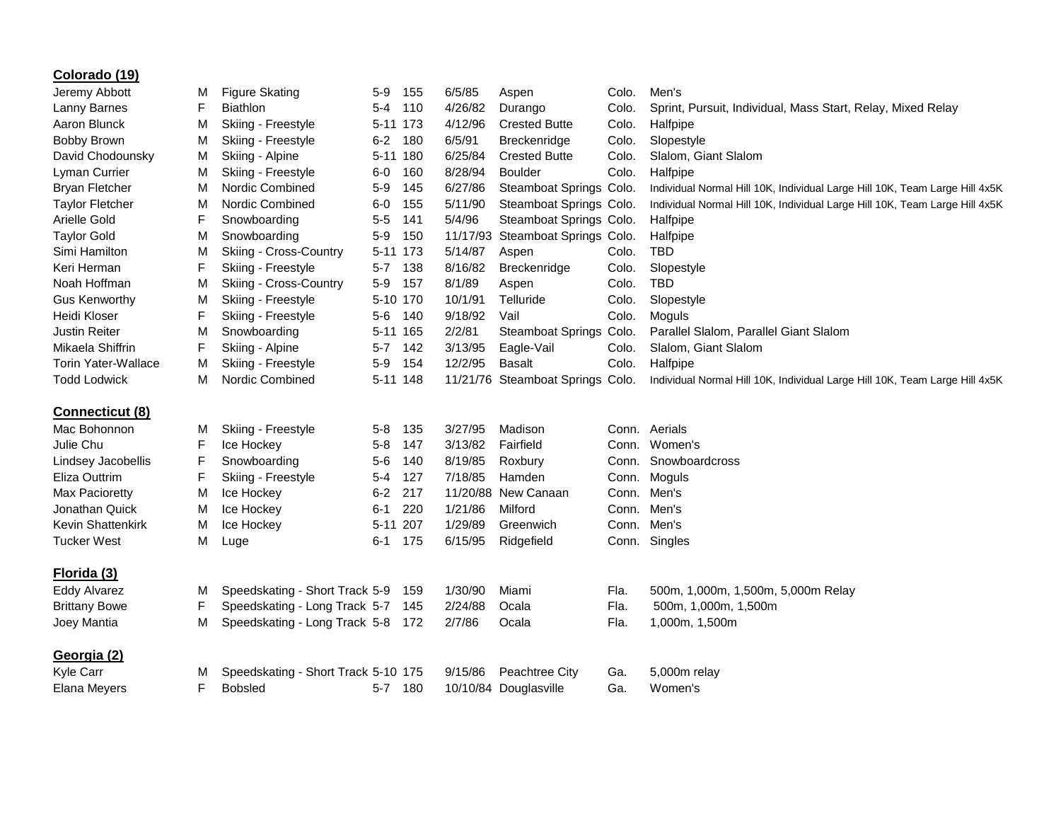| Colorado (19)              |        |                                     |          |          |         |                                  |       |                                                                             |
|----------------------------|--------|-------------------------------------|----------|----------|---------|----------------------------------|-------|-----------------------------------------------------------------------------|
| Jeremy Abbott              | М      | <b>Figure Skating</b>               | $5-9$    | 155      | 6/5/85  | Aspen                            | Colo. | Men's                                                                       |
| Lanny Barnes               | F      | <b>Biathlon</b>                     | $5 - 4$  | 110      | 4/26/82 | Durango                          | Colo. | Sprint, Pursuit, Individual, Mass Start, Relay, Mixed Relay                 |
| Aaron Blunck               | М      | Skiing - Freestyle                  | 5-11 173 |          | 4/12/96 | <b>Crested Butte</b>             | Colo. | Halfpipe                                                                    |
| Bobby Brown                | М      | Skiing - Freestyle                  | $6 - 2$  | 180      | 6/5/91  | Breckenridge                     | Colo. | Slopestyle                                                                  |
| David Chodounsky           | М      | Skiing - Alpine                     | 5-11 180 |          | 6/25/84 | <b>Crested Butte</b>             | Colo. | Slalom, Giant Slalom                                                        |
| Lyman Currier              | М      | Skiing - Freestyle                  | $6-0$    | 160      | 8/28/94 | <b>Boulder</b>                   | Colo. | Halfpipe                                                                    |
| <b>Bryan Fletcher</b>      | М      | Nordic Combined                     | $5-9$    | 145      | 6/27/86 | Steamboat Springs Colo.          |       | Individual Normal Hill 10K, Individual Large Hill 10K, Team Large Hill 4x5K |
| <b>Taylor Fletcher</b>     | M      | Nordic Combined                     | $6-0$    | 155      | 5/11/90 | Steamboat Springs Colo.          |       | Individual Normal Hill 10K, Individual Large Hill 10K, Team Large Hill 4x5K |
| Arielle Gold               | F      | Snowboarding                        | $5-5$    | 141      | 5/4/96  | Steamboat Springs Colo.          |       | Halfpipe                                                                    |
| <b>Taylor Gold</b>         | M      | Snowboarding                        | $5-9$    | 150      |         | 11/17/93 Steamboat Springs Colo. |       | Halfpipe                                                                    |
| Simi Hamilton              | М      | Skiing - Cross-Country              | 5-11 173 |          | 5/14/87 | Aspen                            | Colo. | <b>TBD</b>                                                                  |
| Keri Herman                | F      | Skiing - Freestyle                  | 5-7      | 138      | 8/16/82 | Breckenridge                     | Colo. | Slopestyle                                                                  |
| Noah Hoffman               | М      | Skiing - Cross-Country              | $5-9$    | 157      | 8/1/89  | Aspen                            | Colo. | <b>TBD</b>                                                                  |
| <b>Gus Kenworthy</b>       | м      | Skiing - Freestyle                  |          | 5-10 170 | 10/1/91 | Telluride                        | Colo. | Slopestyle                                                                  |
| Heidi Kloser               | F      | Skiing - Freestyle                  | 5-6 140  |          | 9/18/92 | Vail                             | Colo. | Moguls                                                                      |
| <b>Justin Reiter</b>       | М      | Snowboarding                        | 5-11 165 |          | 2/2/81  | Steamboat Springs Colo.          |       | Parallel Slalom, Parallel Giant Slalom                                      |
| Mikaela Shiffrin           | F      | Skiing - Alpine                     | $5 - 7$  | 142      | 3/13/95 | Eagle-Vail                       | Colo. | Slalom, Giant Slalom                                                        |
| <b>Torin Yater-Wallace</b> | м      | Skiing - Freestyle                  | $5-9$    | 154      | 12/2/95 | <b>Basalt</b>                    | Colo. | Halfpipe                                                                    |
| <b>Todd Lodwick</b>        | М      | Nordic Combined                     | 5-11 148 |          |         | 11/21/76 Steamboat Springs Colo. |       | Individual Normal Hill 10K, Individual Large Hill 10K, Team Large Hill 4x5K |
|                            |        |                                     |          |          |         |                                  |       |                                                                             |
| Connecticut (8)            |        |                                     |          |          |         |                                  |       |                                                                             |
| Mac Bohonnon               | M      | Skiing - Freestyle                  | $5 - 8$  | 135      | 3/27/95 | Madison                          |       | Conn. Aerials                                                               |
| Julie Chu                  | F      | Ice Hockey                          | $5 - 8$  | 147      | 3/13/82 | Fairfield                        |       | Conn. Women's                                                               |
| Lindsey Jacobellis         | F      | Snowboarding                        | $5-6$    | 140      | 8/19/85 | Roxbury                          |       | Conn. Snowboardcross                                                        |
| Eliza Outtrim              | F      | Skiing - Freestyle                  | 5-4      | 127      | 7/18/85 | Hamden                           |       | Conn. Moguls                                                                |
| Max Pacioretty             | М      | Ice Hockey                          | $6 - 2$  | 217      |         | 11/20/88 New Canaan              |       | Conn. Men's                                                                 |
| Jonathan Quick             | М      | Ice Hockey                          | 6-1      | 220      | 1/21/86 | Milford                          |       | Conn. Men's                                                                 |
| <b>Kevin Shattenkirk</b>   | М      | Ice Hockey                          | 5-11 207 |          | 1/29/89 | Greenwich                        |       | Conn. Men's                                                                 |
| <b>Tucker West</b>         | М      | Luge                                | 6-1      | 175      | 6/15/95 | Ridgefield                       |       | Conn. Singles                                                               |
| Florida (3)                |        |                                     |          |          |         |                                  |       |                                                                             |
| Eddy Alvarez               |        | Speedskating - Short Track 5-9      |          |          | 1/30/90 | Miami                            | Fla.  |                                                                             |
| <b>Brittany Bowe</b>       | М<br>F | Speedskating - Long Track 5-7 145   |          | 159      | 2/24/88 | Ocala                            | Fla.  | 500m, 1,000m, 1,500m, 5,000m Relay<br>500m, 1,000m, 1,500m                  |
|                            |        | Speedskating - Long Track 5-8 172   |          |          |         |                                  |       |                                                                             |
| Joey Mantia                | М      |                                     |          |          | 2/7/86  | Ocala                            | Fla.  | 1,000m, 1,500m                                                              |
| Georgia (2)                |        |                                     |          |          |         |                                  |       |                                                                             |
| <b>Kyle Carr</b>           | М      | Speedskating - Short Track 5-10 175 |          |          | 9/15/86 | Peachtree City                   | Ga.   | 5,000m relay                                                                |
| Elana Meyers               | F      | <b>Bobsled</b>                      | 5-7 180  |          |         | 10/10/84 Douglasville            | Ga.   | Women's                                                                     |
|                            |        |                                     |          |          |         |                                  |       |                                                                             |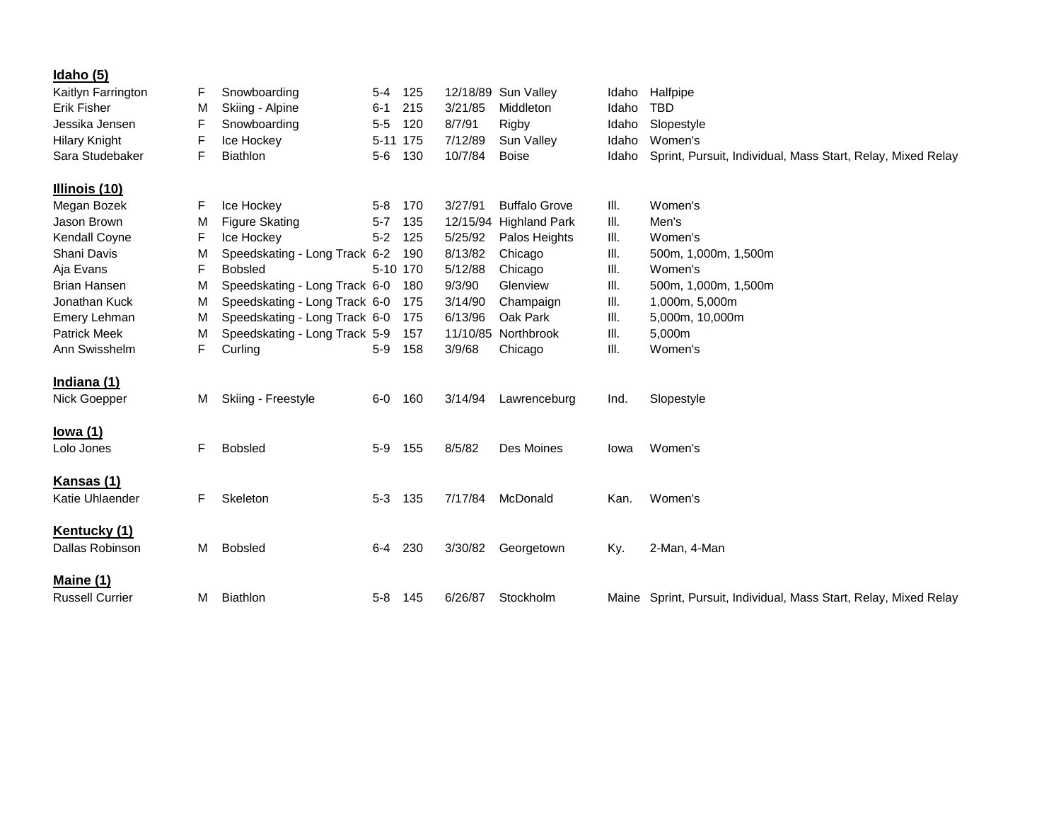| <u>Idaho (5)</u>              |   |                               |          |     |          |                      |       |                                                                   |
|-------------------------------|---|-------------------------------|----------|-----|----------|----------------------|-------|-------------------------------------------------------------------|
| Kaitlyn Farrington            | F | Snowboarding                  | $5 - 4$  | 125 | 12/18/89 | Sun Valley           | Idaho | Halfpipe                                                          |
| <b>Erik Fisher</b>            | M | Skiing - Alpine               | $6 - 1$  | 215 | 3/21/85  | Middleton            | Idaho | <b>TBD</b>                                                        |
| Jessika Jensen                | F | Snowboarding                  | $5 - 5$  | 120 | 8/7/91   | Rigby                | Idaho | Slopestyle                                                        |
| <b>Hilary Knight</b>          | F | Ice Hockey                    | 5-11 175 |     | 7/12/89  | Sun Valley           | Idaho | Women's                                                           |
| Sara Studebaker               | F | <b>Biathlon</b>               | $5-6$    | 130 | 10/7/84  | <b>Boise</b>         | Idaho | Sprint, Pursuit, Individual, Mass Start, Relay, Mixed Relay       |
| Illinois (10)                 |   |                               |          |     |          |                      |       |                                                                   |
| Megan Bozek                   | F | Ice Hockey                    | $5 - 8$  | 170 | 3/27/91  | <b>Buffalo Grove</b> | III.  | Women's                                                           |
| Jason Brown                   | M | <b>Figure Skating</b>         | $5 - 7$  | 135 | 12/15/94 | <b>Highland Park</b> | III.  | Men's                                                             |
| Kendall Coyne                 | F | Ice Hockey                    | $5 - 2$  | 125 | 5/25/92  | Palos Heights        | Ш.    | Women's                                                           |
| Shani Davis                   | м | Speedskating - Long Track 6-2 |          | 190 | 8/13/82  | Chicago              | Ш.    | 500m, 1,000m, 1,500m                                              |
| Aja Evans                     | F | <b>Bobsled</b>                | 5-10 170 |     | 5/12/88  | Chicago              | Ш.    | Women's                                                           |
| <b>Brian Hansen</b>           | M | Speedskating - Long Track 6-0 |          | 180 | 9/3/90   | Glenview             | Ш.    | 500m, 1,000m, 1,500m                                              |
| Jonathan Kuck                 | М | Speedskating - Long Track 6-0 |          | 175 | 3/14/90  | Champaign            | Ш.    | 1,000m, 5,000m                                                    |
| Emery Lehman                  | М | Speedskating - Long Track 6-0 |          | 175 | 6/13/96  | Oak Park             | Ш.    | 5,000m, 10,000m                                                   |
| <b>Patrick Meek</b>           | м | Speedskating - Long Track 5-9 |          | 157 | 11/10/85 | Northbrook           | III.  | 5,000m                                                            |
| Ann Swisshelm                 | F | Curling                       | $5-9$    | 158 | 3/9/68   | Chicago              | Ш.    | Women's                                                           |
| Indiana (1)                   |   |                               |          |     |          |                      |       |                                                                   |
| Nick Goepper                  | М | Skiing - Freestyle            | $6-0$    | 160 | 3/14/94  | Lawrenceburg         | Ind.  | Slopestyle                                                        |
| lowa $(1)$                    |   |                               |          |     |          |                      |       |                                                                   |
| Lolo Jones                    | F | <b>Bobsled</b>                | $5-9$    | 155 | 8/5/82   | Des Moines           | Iowa  | Women's                                                           |
|                               |   |                               |          |     |          |                      |       |                                                                   |
| Kansas (1)<br>Katie Uhlaender | F | Skeleton                      | $5 - 3$  | 135 | 7/17/84  | McDonald             | Kan.  | Women's                                                           |
|                               |   |                               |          |     |          |                      |       |                                                                   |
| Kentucky (1)                  |   |                               |          |     |          |                      |       |                                                                   |
| Dallas Robinson               | М | <b>Bobsled</b>                | 6-4      | 230 | 3/30/82  | Georgetown           | Ky.   | 2-Man, 4-Man                                                      |
| Maine (1)                     |   |                               |          |     |          |                      |       |                                                                   |
| <b>Russell Currier</b>        | м | <b>Biathlon</b>               | $5 - 8$  | 145 | 6/26/87  | Stockholm            |       | Maine Sprint, Pursuit, Individual, Mass Start, Relay, Mixed Relay |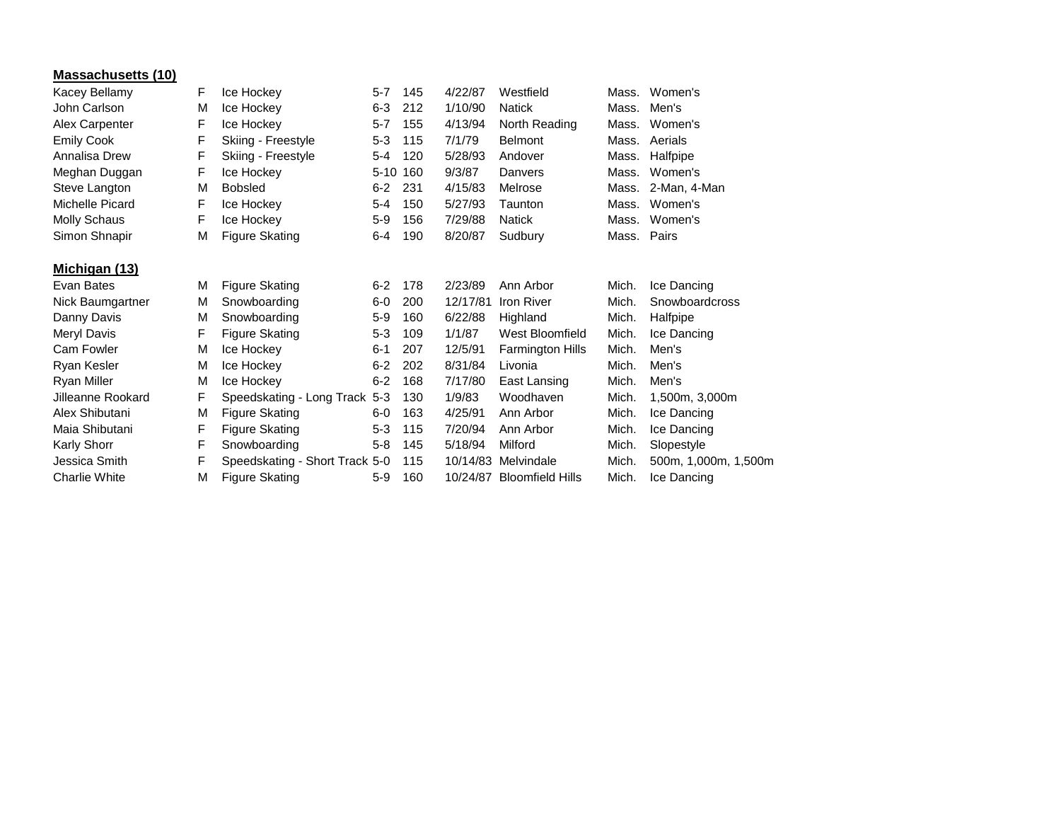| <b>Massachusetts (10)</b> |   |                       |         |          |          |                   |       |                |
|---------------------------|---|-----------------------|---------|----------|----------|-------------------|-------|----------------|
| Kacey Bellamy             | F | Ice Hockey            | $5 - 7$ | 145      | 4/22/87  | Westfield         | Mass. | Women's        |
| John Carlson              | M | Ice Hockey            | 6-3     | 212      | 1/10/90  | <b>Natick</b>     | Mass. | Men's          |
| Alex Carpenter            | F | Ice Hockey            | $5 - 7$ | 155      | 4/13/94  | North Reading     | Mass. | Women's        |
| <b>Emily Cook</b>         | F | Skiing - Freestyle    | $5-3$   | 115      | 7/1/79   | <b>Belmont</b>    | Mass. | Aerials        |
| Annalisa Drew             | F | Skiing - Freestyle    | $5 - 4$ | 120      | 5/28/93  | Andover           | Mass. | Halfpipe       |
| Meghan Duggan             | F | Ice Hockey            |         | 5-10 160 | 9/3/87   | Danvers           | Mass. | Women's        |
| Steve Langton             | M | <b>Bobsled</b>        | $6-2$   | -231     | 4/15/83  | Melrose           | Mass. | 2-Man, 4-Man   |
| Michelle Picard           | F | Ice Hockey            | 5-4     | 150      | 5/27/93  | Taunton           | Mass. | Women's        |
| <b>Molly Schaus</b>       | F | Ice Hockey            | $5-9$   | 156      | 7/29/88  | <b>Natick</b>     | Mass. | Women's        |
| Simon Shnapir             | M | <b>Figure Skating</b> | $6 - 4$ | 190      | 8/20/87  | Sudbury           |       | Mass. Pairs    |
| Michigan (13)             |   |                       |         |          |          |                   |       |                |
| Evan Bates                | М | <b>Figure Skating</b> | $6 - 2$ | 178      | 2/23/89  | Ann Arbor         | Mich. | Ice Dancing    |
| Nick Baumgartner          | М | Snowboarding          | $6-0$   | 200      | 12/17/81 | <b>Iron River</b> | Mich. | Snowboardcross |
| Danny Davis               | M | Snowboarding          | $5-9$   | 160      | 6/22/88  | Highland          | Mich. | Halfpipe       |
| Meryl Davis               | F | Figure Skating        | $5-3$   | 109      | 1/1/87   | West Bloomfield   | Mich. | Ice Dancing    |

Cam Fowler M Ice Hockey 6-1 207 12/5/91 Farmington Hills Mich. Men's Ryan Kesler M Ice Hockey 6-2 202 8/31/84 Livonia Mich. Men's Ryan Miller M Ice Hockey 6-2 168 7/17/80 East Lansing Mich. Men's

Jilleanne Rookard F Speedskating - Long Track 5-3 130 1/9/83 Woodhaven Mich. 1,500m, 3,000m Alex Shibutani M Figure Skating 6-0 163 4/25/91 Ann Arbor Mich. Ice Dancing Maia Shibutani F Figure Skating 5-3 115 7/20/94 Ann Arbor Mich. Ice Dancing Karly Shorr F Snowboarding 5-8 145 5/18/94 Milford Mich. Slopestyle

Charlie White M Figure Skating 5-9 160 10/24/87 Bloomfield Hills Mich. Ice Dancing

Jessica Smith F Speedskating - Short Track 5-0 115 10/14/83 Melvindale Mich. 500m, 1,000m, 1,500m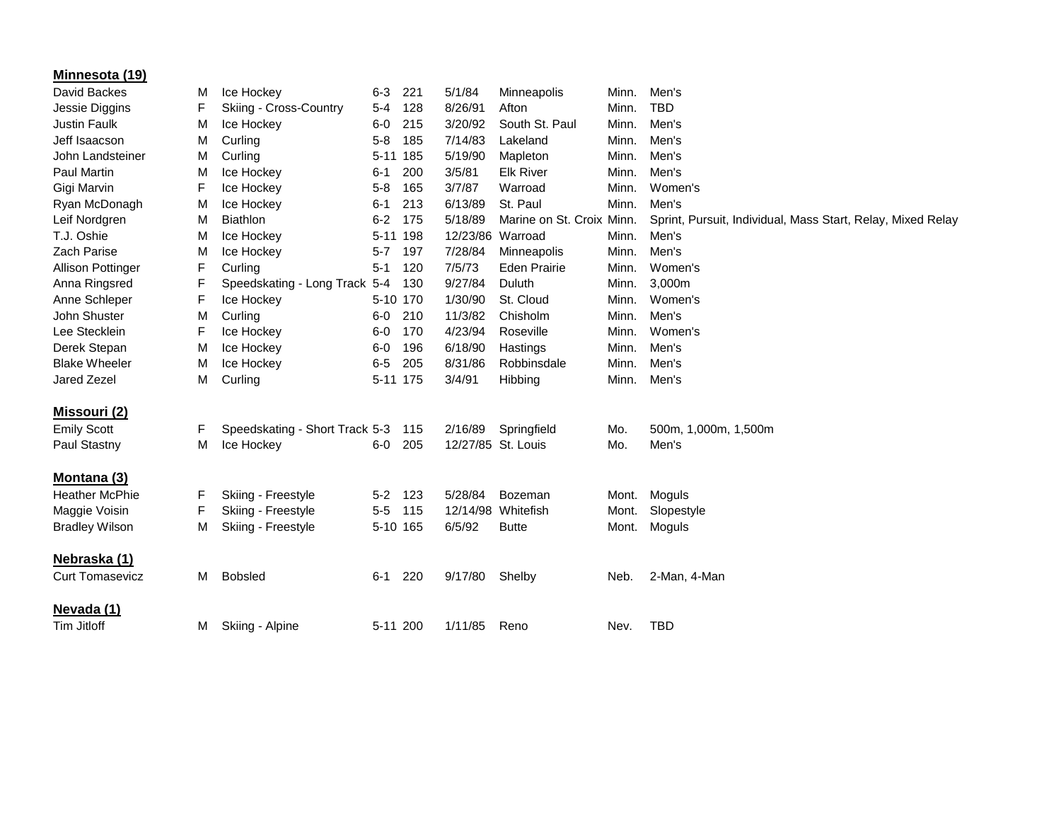| Minnesota (19)           |   |                                |          |     |          |                           |       |                                                             |
|--------------------------|---|--------------------------------|----------|-----|----------|---------------------------|-------|-------------------------------------------------------------|
| David Backes             | M | Ice Hockey                     | $6 - 3$  | 221 | 5/1/84   | Minneapolis               | Minn. | Men's                                                       |
| Jessie Diggins           | F | Skiing - Cross-Country         | 5-4      | 128 | 8/26/91  | Afton                     | Minn. | <b>TBD</b>                                                  |
| Justin Faulk             | M | Ice Hockey                     | $6-0$    | 215 | 3/20/92  | South St. Paul            | Minn. | Men's                                                       |
| Jeff Isaacson            | M | Curling                        | $5 - 8$  | 185 | 7/14/83  | Lakeland                  | Minn. | Men's                                                       |
| John Landsteiner         | M | Curling                        | $5 - 11$ | 185 | 5/19/90  | Mapleton                  | Minn. | Men's                                                       |
| <b>Paul Martin</b>       | M | Ice Hockey                     | $6 - 1$  | 200 | 3/5/81   | <b>Elk River</b>          | Minn. | Men's                                                       |
| Gigi Marvin              | F | Ice Hockey                     | $5 - 8$  | 165 | 3/7/87   | Warroad                   | Minn. | Women's                                                     |
| Ryan McDonagh            | M | Ice Hockey                     | $6 - 1$  | 213 | 6/13/89  | St. Paul                  | Minn. | Men's                                                       |
| Leif Nordgren            | M | <b>Biathlon</b>                | $6 - 2$  | 175 | 5/18/89  | Marine on St. Croix Minn. |       | Sprint, Pursuit, Individual, Mass Start, Relay, Mixed Relay |
| T.J. Oshie               | M | Ice Hockey                     | 5-11 198 |     | 12/23/86 | Warroad                   | Minn. | Men's                                                       |
| Zach Parise              | M | Ice Hockey                     | $5 - 7$  | 197 | 7/28/84  | Minneapolis               | Minn. | Men's                                                       |
| <b>Allison Pottinger</b> | F | Curling                        | $5 - 1$  | 120 | 7/5/73   | <b>Eden Prairie</b>       | Minn. | Women's                                                     |
| Anna Ringsred            | F | Speedskating - Long Track 5-4  |          | 130 | 9/27/84  | Duluth                    | Minn. | 3,000m                                                      |
| Anne Schleper            | F | Ice Hockey                     | 5-10 170 |     | 1/30/90  | St. Cloud                 | Minn. | Women's                                                     |
| John Shuster             | M | Curling                        | $6-0$    | 210 | 11/3/82  | Chisholm                  | Minn. | Men's                                                       |
| Lee Stecklein            | F | Ice Hockey                     | $6-0$    | 170 | 4/23/94  | Roseville                 | Minn. | Women's                                                     |
| Derek Stepan             | M | Ice Hockey                     | $6-0$    | 196 | 6/18/90  | Hastings                  | Minn. | Men's                                                       |
| <b>Blake Wheeler</b>     | M | Ice Hockey                     | $6-5$    | 205 | 8/31/86  | Robbinsdale               | Minn. | Men's                                                       |
| Jared Zezel              | M | Curling                        | 5-11 175 |     | 3/4/91   | Hibbing                   | Minn. | Men's                                                       |
| <b>Missouri (2)</b>      |   |                                |          |     |          |                           |       |                                                             |
| <b>Emily Scott</b>       | F | Speedskating - Short Track 5-3 |          | 115 | 2/16/89  | Springfield               | Mo.   | 500m, 1,000m, 1,500m                                        |
| Paul Stastny             | М | Ice Hockey                     | $6-0$    | 205 |          | 12/27/85 St. Louis        | Mo.   | Men's                                                       |
|                          |   |                                |          |     |          |                           |       |                                                             |
| Montana (3)              |   |                                |          |     |          |                           |       |                                                             |
| <b>Heather McPhie</b>    | F | Skiing - Freestyle             | $5 - 2$  | 123 | 5/28/84  | Bozeman                   | Mont. | Moguls                                                      |
| Maggie Voisin            | F | Skiing - Freestyle             | $5-5$    | 115 |          | 12/14/98 Whitefish        | Mont. | Slopestyle                                                  |
| <b>Bradley Wilson</b>    | M | Skiing - Freestyle             | 5-10 165 |     | 6/5/92   | <b>Butte</b>              | Mont. | Moguls                                                      |
| Nebraska (1)             |   |                                |          |     |          |                           |       |                                                             |
| <b>Curt Tomasevicz</b>   | м | Bobsled                        | $6 - 1$  | 220 | 9/17/80  | Shelby                    | Neb.  | 2-Man, 4-Man                                                |
| Nevada (1)               |   |                                |          |     |          |                           |       |                                                             |
| Tim Jitloff              | М | Skiing - Alpine                | 5-11 200 |     | 1/11/85  | Reno                      | Nev.  | <b>TBD</b>                                                  |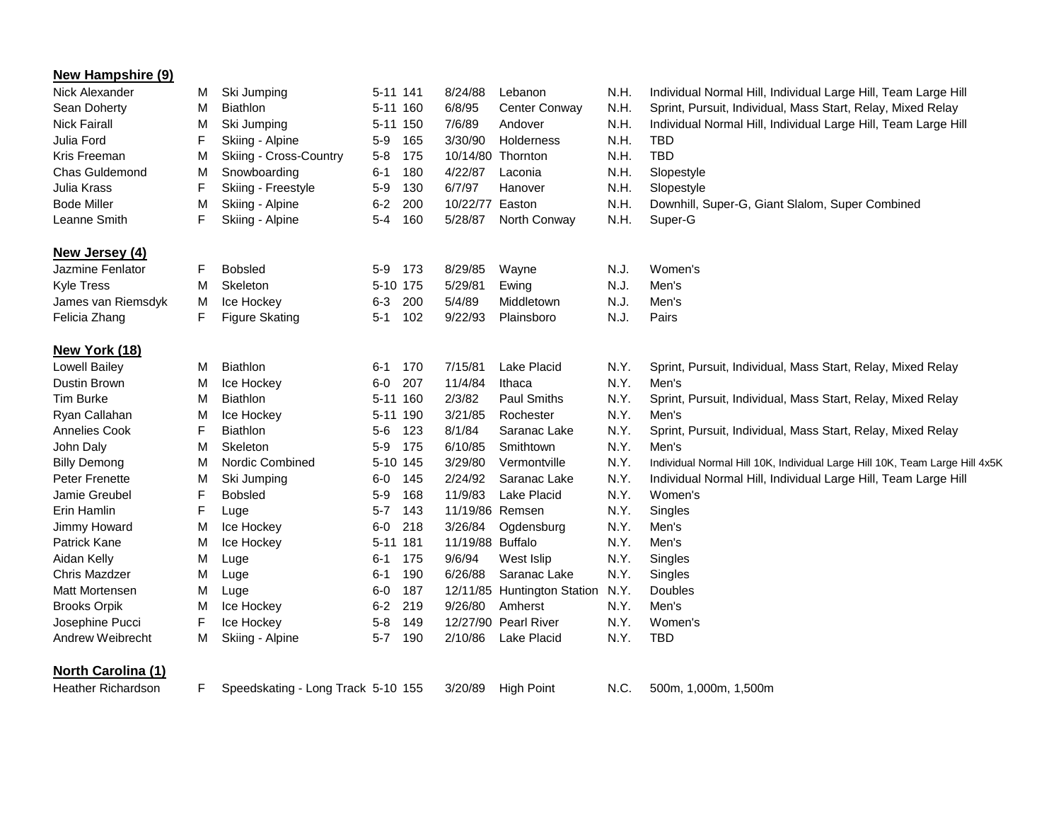| <b>New Hampshire (9)</b>  |    |                                    |          |          |                  |                             |      |                                                                             |
|---------------------------|----|------------------------------------|----------|----------|------------------|-----------------------------|------|-----------------------------------------------------------------------------|
| Nick Alexander            | м  | Ski Jumping                        |          | 5-11 141 | 8/24/88          | Lebanon                     | N.H. | Individual Normal Hill, Individual Large Hill, Team Large Hill              |
| Sean Doherty              | м  | <b>Biathlon</b>                    |          | 5-11 160 | 6/8/95           | Center Conway               | N.H. | Sprint, Pursuit, Individual, Mass Start, Relay, Mixed Relay                 |
| <b>Nick Fairall</b>       | М  | Ski Jumping                        |          | 5-11 150 | 7/6/89           | Andover                     | N.H. | Individual Normal Hill, Individual Large Hill, Team Large Hill              |
| Julia Ford                | F  | Skiing - Alpine                    | $5-9$    | 165      | 3/30/90          | Holderness                  | N.H. | TBD                                                                         |
| Kris Freeman              | M  | Skiing - Cross-Country             | $5-8$    | 175      |                  | 10/14/80 Thornton           | N.H. | <b>TBD</b>                                                                  |
| Chas Guldemond            | M  | Snowboarding                       | $6 - 1$  | 180      | 4/22/87          | Laconia                     | N.H. | Slopestyle                                                                  |
| Julia Krass               | F  | Skiing - Freestyle                 | $5-9$    | 130      | 6/7/97           | Hanover                     | N.H. | Slopestyle                                                                  |
| <b>Bode Miller</b>        | M  | Skiing - Alpine                    | $6-2$    | 200      | 10/22/77 Easton  |                             | N.H. | Downhill, Super-G, Giant Slalom, Super Combined                             |
| Leanne Smith              | F  | Skiing - Alpine                    | $5 - 4$  | 160      | 5/28/87          | North Conway                | N.H. | Super-G                                                                     |
| New Jersey (4)            |    |                                    |          |          |                  |                             |      |                                                                             |
| Jazmine Fenlator          | F  | <b>Bobsled</b>                     |          | 5-9 173  | 8/29/85          | Wayne                       | N.J. | Women's                                                                     |
| <b>Kyle Tress</b>         | М  | Skeleton                           | 5-10 175 |          | 5/29/81          | Ewing                       | N.J. | Men's                                                                       |
| James van Riemsdyk        | M  | Ice Hockey                         | $6 - 3$  | 200      | 5/4/89           | Middletown                  | N.J. | Men's                                                                       |
| Felicia Zhang             | F  | <b>Figure Skating</b>              | 5-1      | 102      | 9/22/93          | Plainsboro                  | N.J. | Pairs                                                                       |
| New York (18)             |    |                                    |          |          |                  |                             |      |                                                                             |
| <b>Lowell Bailey</b>      | м  | <b>Biathlon</b>                    | $6 - 1$  | 170      | 7/15/81          | <b>Lake Placid</b>          | N.Y. | Sprint, Pursuit, Individual, Mass Start, Relay, Mixed Relay                 |
| Dustin Brown              | М  | Ice Hockey                         | $6-0$    | 207      | 11/4/84          | Ithaca                      | N.Y. | Men's                                                                       |
| <b>Tim Burke</b>          | М  | <b>Biathlon</b>                    |          | 5-11 160 | 2/3/82           | <b>Paul Smiths</b>          | N.Y. | Sprint, Pursuit, Individual, Mass Start, Relay, Mixed Relay                 |
| Ryan Callahan             | м  | Ice Hockey                         |          | 5-11 190 | 3/21/85          | Rochester                   | N.Y. | Men's                                                                       |
| <b>Annelies Cook</b>      | F  | <b>Biathlon</b>                    | $5-6$    | 123      | 8/1/84           | Saranac Lake                | N.Y. | Sprint, Pursuit, Individual, Mass Start, Relay, Mixed Relay                 |
| John Daly                 | М  | Skeleton                           | $5-9$    | 175      | 6/10/85          | Smithtown                   | N.Y. | Men's                                                                       |
| <b>Billy Demong</b>       | М  | Nordic Combined                    |          | 5-10 145 | 3/29/80          | Vermontville                | N.Y. | Individual Normal Hill 10K, Individual Large Hill 10K, Team Large Hill 4x5K |
| Peter Frenette            | М  | Ski Jumping                        | $6-0$    | 145      | 2/24/92          | Saranac Lake                | N.Y. | Individual Normal Hill, Individual Large Hill, Team Large Hill              |
| Jamie Greubel             | F  | <b>Bobsled</b>                     | $5-9$    | 168      | 11/9/83          | Lake Placid                 | N.Y. | Women's                                                                     |
| Erin Hamlin               | F  | Luge                               | $5 - 7$  | 143      |                  | 11/19/86 Remsen             | N.Y. | Singles                                                                     |
| Jimmy Howard              | M  | Ice Hockey                         | $6-0$    | 218      | 3/26/84          | Ogdensburg                  | N.Y. | Men's                                                                       |
| <b>Patrick Kane</b>       | М  | Ice Hockey                         |          | 5-11 181 | 11/19/88 Buffalo |                             | N.Y. | Men's                                                                       |
| Aidan Kelly               | M  | Luge                               | $6 - 1$  | 175      | 9/6/94           | West Islip                  | N.Y. | Singles                                                                     |
| Chris Mazdzer             | М  | Luge                               | $6 - 1$  | 190      | 6/26/88          | Saranac Lake                | N.Y. | Singles                                                                     |
| Matt Mortensen            | М  | Luge                               | $6-0$    | 187      |                  | 12/11/85 Huntington Station | N.Y. | Doubles                                                                     |
| <b>Brooks Orpik</b>       | M  | Ice Hockey                         | $6 - 2$  | 219      | 9/26/80          | Amherst                     | N.Y. | Men's                                                                       |
| Josephine Pucci           | F  | Ice Hockey                         | $5 - 8$  | 149      |                  | 12/27/90 Pearl River        | N.Y. | Women's                                                                     |
| Andrew Weibrecht          | M  | Skiing - Alpine                    | $5 - 7$  | 190      | 2/10/86          | <b>Lake Placid</b>          | N.Y. | <b>TBD</b>                                                                  |
| <b>North Carolina (1)</b> |    |                                    |          |          |                  |                             |      |                                                                             |
| <b>Heather Richardson</b> | F. | Speedskating - Long Track 5-10 155 |          |          | 3/20/89          | <b>High Point</b>           | N.C. | 500m, 1,000m, 1,500m                                                        |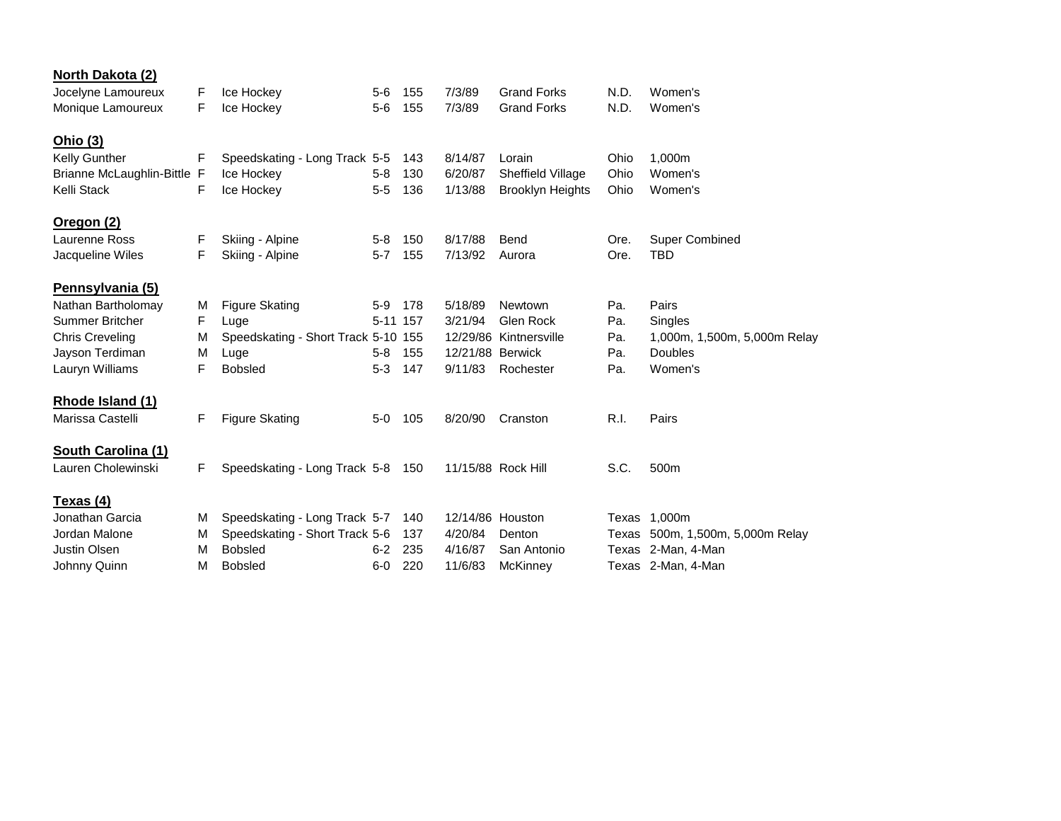| <b>North Dakota (2)</b>     |   |                                     |          |     |                  |                         |      |                                  |
|-----------------------------|---|-------------------------------------|----------|-----|------------------|-------------------------|------|----------------------------------|
| Jocelyne Lamoureux          | F | Ice Hockey                          | $5-6$    | 155 | 7/3/89           | <b>Grand Forks</b>      | N.D. | Women's                          |
| Monique Lamoureux           | F | Ice Hockey                          | $5-6$    | 155 | 7/3/89           | <b>Grand Forks</b>      | N.D. | Women's                          |
| Ohio (3)                    |   |                                     |          |     |                  |                         |      |                                  |
| <b>Kelly Gunther</b>        | F | Speedskating - Long Track 5-5       |          | 143 | 8/14/87          | Lorain                  | Ohio | 1,000m                           |
| Brianne McLaughlin-Bittle F |   | Ice Hockey                          | $5 - 8$  | 130 | 6/20/87          | Sheffield Village       | Ohio | Women's                          |
| Kelli Stack                 | F | Ice Hockey                          | $5-5$    | 136 | 1/13/88          | <b>Brooklyn Heights</b> | Ohio | Women's                          |
| Oregon (2)                  |   |                                     |          |     |                  |                         |      |                                  |
| Laurenne Ross               | F | Skiing - Alpine                     | $5 - 8$  | 150 | 8/17/88          | Bend                    | Ore. | <b>Super Combined</b>            |
| Jacqueline Wiles            | F | Skiing - Alpine                     | $5 - 7$  | 155 | 7/13/92          | Aurora                  | Ore. | <b>TBD</b>                       |
| Pennsylvania (5)            |   |                                     |          |     |                  |                         |      |                                  |
| Nathan Bartholomay          | M | <b>Figure Skating</b>               | $5-9$    | 178 | 5/18/89          | Newtown                 | Pa.  | Pairs                            |
| <b>Summer Britcher</b>      | F | Luge                                | 5-11 157 |     | 3/21/94          | Glen Rock               | Pa.  | Singles                          |
| <b>Chris Creveling</b>      | M | Speedskating - Short Track 5-10 155 |          |     |                  | 12/29/86 Kintnersville  | Pa.  | 1,000m, 1,500m, 5,000m Relay     |
| Jayson Terdiman             | M | Luge                                | $5 - 8$  | 155 | 12/21/88 Berwick |                         | Pa.  | <b>Doubles</b>                   |
| Lauryn Williams             | F | <b>Bobsled</b>                      | $5 - 3$  | 147 | 9/11/83          | Rochester               | Pa.  | Women's                          |
| Rhode Island (1)            |   |                                     |          |     |                  |                         |      |                                  |
| Marissa Castelli            | F | <b>Figure Skating</b>               | $5-0$    | 105 | 8/20/90          | Cranston                | R.I. | Pairs                            |
| South Carolina (1)          |   |                                     |          |     |                  |                         |      |                                  |
| Lauren Cholewinski          | F | Speedskating - Long Track 5-8 150   |          |     |                  | 11/15/88 Rock Hill      | S.C. | 500m                             |
| <u>Texas (4)</u>            |   |                                     |          |     |                  |                         |      |                                  |
| Jonathan Garcia             | м | Speedskating - Long Track 5-7       |          | 140 | 12/14/86 Houston |                         |      | Texas 1,000m                     |
| Jordan Malone               | M | Speedskating - Short Track 5-6      |          | 137 | 4/20/84          | Denton                  |      | Texas 500m, 1,500m, 5,000m Relay |
| Justin Olsen                | M | <b>Bobsled</b>                      | $6-2$    | 235 | 4/16/87          | San Antonio             |      | Texas 2-Man, 4-Man               |
| Johnny Quinn                | M | <b>Bobsled</b>                      | $6-0$    | 220 | 11/6/83          | McKinney                |      | Texas 2-Man, 4-Man               |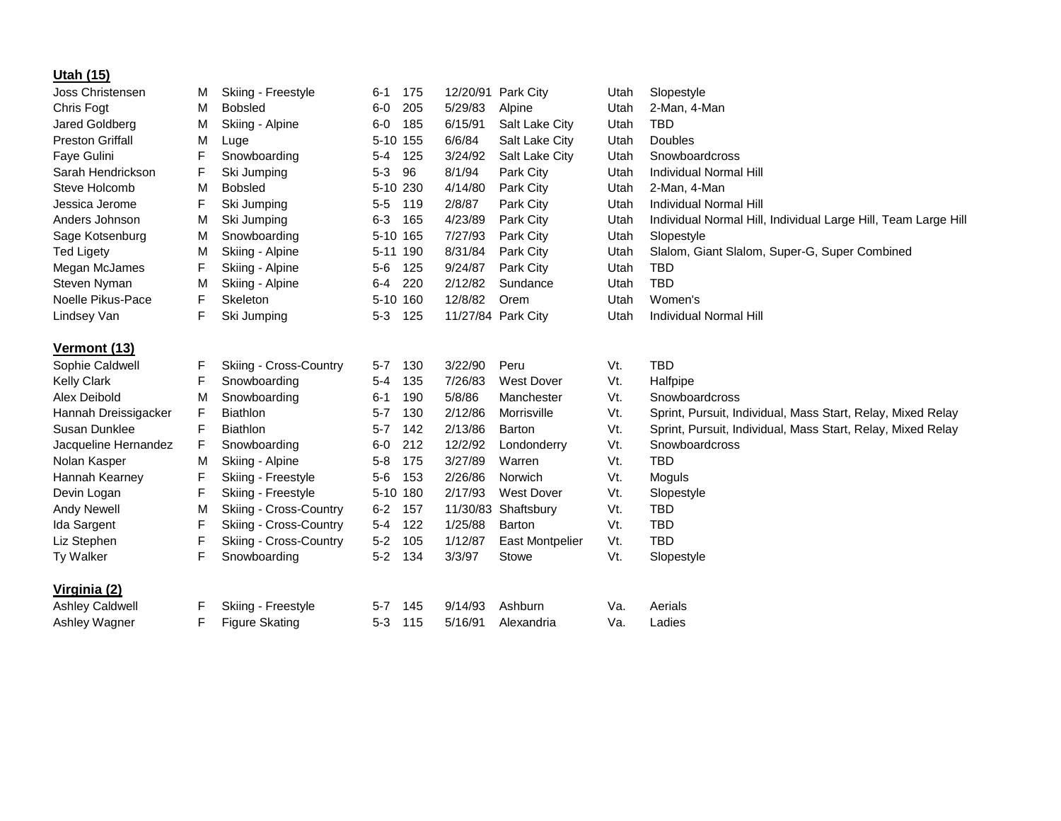| Utah (15)               |   |                               |          |          |          |                        |      |                                                                |
|-------------------------|---|-------------------------------|----------|----------|----------|------------------------|------|----------------------------------------------------------------|
| <b>Joss Christensen</b> | M | Skiing - Freestyle            | $6 - 1$  | 175      |          | 12/20/91 Park City     | Utah | Slopestyle                                                     |
| Chris Fogt              | м | <b>Bobsled</b>                | $6-0$    | 205      | 5/29/83  | Alpine                 | Utah | 2-Man, 4-Man                                                   |
| Jared Goldberg          | M | Skiing - Alpine               | $6-0$    | 185      | 6/15/91  | Salt Lake City         | Utah | <b>TBD</b>                                                     |
| <b>Preston Griffall</b> | M | Luge                          | 5-10 155 |          | 6/6/84   | Salt Lake City         | Utah | Doubles                                                        |
| Faye Gulini             | F | Snowboarding                  | $5 - 4$  | 125      | 3/24/92  | Salt Lake City         | Utah | Snowboardcross                                                 |
| Sarah Hendrickson       | F | Ski Jumping                   | $5 - 3$  | 96       | 8/1/94   | Park City              | Utah | Individual Normal Hill                                         |
| Steve Holcomb           | M | <b>Bobsled</b>                | 5-10 230 |          | 4/14/80  | Park City              | Utah | 2-Man, 4-Man                                                   |
| Jessica Jerome          | F | Ski Jumping                   | $5-5$    | 119      | 2/8/87   | Park City              | Utah | Individual Normal Hill                                         |
| Anders Johnson          | M | Ski Jumping                   | $6 - 3$  | 165      | 4/23/89  | Park City              | Utah | Individual Normal Hill, Individual Large Hill, Team Large Hill |
| Sage Kotsenburg         | M | Snowboarding                  |          | 5-10 165 | 7/27/93  | Park City              | Utah | Slopestyle                                                     |
| <b>Ted Ligety</b>       | M | Skiing - Alpine               |          | 5-11 190 | 8/31/84  | Park City              | Utah | Slalom, Giant Slalom, Super-G, Super Combined                  |
| Megan McJames           | F | Skiing - Alpine               | $5-6$    | 125      | 9/24/87  | Park City              | Utah | <b>TBD</b>                                                     |
| Steven Nyman            | M | Skiing - Alpine               | $6 - 4$  | 220      | 2/12/82  | Sundance               | Utah | <b>TBD</b>                                                     |
| Noelle Pikus-Pace       | F | Skeleton                      |          | 5-10 160 | 12/8/82  | Orem                   | Utah | Women's                                                        |
| Lindsey Van             | F | Ski Jumping                   | $5 - 3$  | 125      |          | 11/27/84 Park City     | Utah | Individual Normal Hill                                         |
| Vermont (13)            |   |                               |          |          |          |                        |      |                                                                |
| Sophie Caldwell         | F | Skiing - Cross-Country        | $5 - 7$  | 130      | 3/22/90  | Peru                   | Vt.  | <b>TBD</b>                                                     |
| <b>Kelly Clark</b>      | F | Snowboarding                  | $5 - 4$  | 135      | 7/26/83  | <b>West Dover</b>      | Vt.  | Halfpipe                                                       |
| Alex Deibold            | M | Snowboarding                  | $6 - 1$  | 190      | 5/8/86   | Manchester             | Vt.  | Snowboardcross                                                 |
| Hannah Dreissigacker    | F | <b>Biathlon</b>               | $5 - 7$  | 130      | 2/12/86  | Morrisville            | Vt.  | Sprint, Pursuit, Individual, Mass Start, Relay, Mixed Relay    |
| Susan Dunklee           | F | <b>Biathlon</b>               | $5 - 7$  | 142      | 2/13/86  | Barton                 | Vt.  | Sprint, Pursuit, Individual, Mass Start, Relay, Mixed Relay    |
| Jacqueline Hernandez    | F | Snowboarding                  | $6-0$    | 212      | 12/2/92  | Londonderry            | Vt.  | Snowboardcross                                                 |
| Nolan Kasper            | M | Skiing - Alpine               | $5 - 8$  | 175      | 3/27/89  | Warren                 | Vt.  | <b>TBD</b>                                                     |
| Hannah Kearney          | F | Skiing - Freestyle            | $5-6$    | 153      | 2/26/86  | Norwich                | Vt.  | Moguls                                                         |
| Devin Logan             | F | Skiing - Freestyle            | 5-10 180 |          | 2/17/93  | <b>West Dover</b>      | Vt.  | Slopestyle                                                     |
| <b>Andy Newell</b>      | M | Skiing - Cross-Country        | $6 - 2$  | 157      | 11/30/83 | Shaftsbury             | Vt.  | <b>TBD</b>                                                     |
| Ida Sargent             | F | Skiing - Cross-Country        | $5-4$    | 122      | 1/25/88  | <b>Barton</b>          | Vt.  | <b>TBD</b>                                                     |
| Liz Stephen             | F | <b>Skiing - Cross-Country</b> | $5-2$    | 105      | 1/12/87  | <b>East Montpelier</b> | Vt.  | <b>TBD</b>                                                     |
| Ty Walker               | F | Snowboarding                  | $5 - 2$  | 134      | 3/3/97   | Stowe                  | Vt.  | Slopestyle                                                     |
|                         |   |                               |          |          |          |                        |      |                                                                |
| Virginia (2)            |   |                               |          |          |          |                        |      |                                                                |
| <b>Ashley Caldwell</b>  | F | Skiing - Freestyle            | $5 - 7$  | 145      | 9/14/93  | Ashburn                | Va.  | Aerials                                                        |
| Ashley Wagner           | F | <b>Figure Skating</b>         | $5 - 3$  | 115      | 5/16/91  | Alexandria             | Va.  | Ladies                                                         |